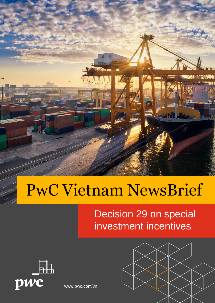

# PwC Vietnam NewsBrief

Decision 29 on special investment incentives



[www.pwc.com/vn](http://www.pwc.com/vn)

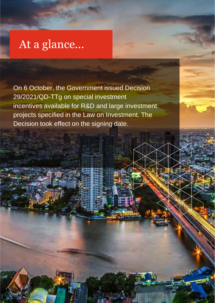### At a glance...

**Presentation title** 

On 6 October, the Government issued Decision 29/2021/QD-TTg on special investment incentives available for R&D and large investment projects specified in the Law on Investment. The Decision took effect on the signing date.

1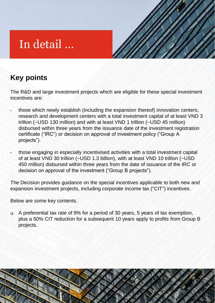## In detail …

#### **Key points**

The R&D and large investment projects which are eligible for these special investment incentives are:

- those which newly establish (including the expansion thereof) innovation centers, research and development centers with a total investment capital of at least VND 3 trillion (~USD 130 million) and with at least VND 1 trillion (~USD 45 million) disbursed within three years from the issuance date of the investment registration certificate ("IRC") or decision on approval of investment policy ("Group A projects").
- those engaging in especially incentivised activities with a total investment capital of at least VND 30 trillion (~USD 1.3 billion), with at least VND 10 trillion (~USD 450 million) disbursed within three years from the date of issuance of the IRC or decision on approval of the investment ("Group B projects").

The Decision provides guidance on the special incentives applicable to both new and expansion investment projects, including corporate income tax ("CIT") incentives.

Below are some key contents.

Presentation title

❑ A preferential tax rate of 9% for a period of 30 years, 5 years of tax exemption, plus a 50% CIT reduction for a subsequent 10 years apply to profits from Group B projects.

1

3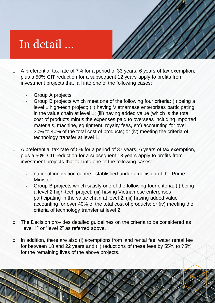### In detail …



1

4

- ❑ A preferential tax rate of 7% for a period of 33 years, 6 years of tax exemption, plus a 50% CIT reduction for a subsequent 12 years apply to profits from investment projects that fall into one of the following cases:
	- Group A projects

Presentation title

- Group B projects which meet one of the following four criteria: (i) being a level 1 high-tech project; (ii) having Vietnamese enterprises participating in the value chain at level 1; (iii) having added value (which is the total cost of products minus the expenses paid to overseas including imported materials, machine, equipment, royalty fees, etc) accounting for over 30% to 40% of the total cost of products; or (iv) meeting the criteria of technology transfer at level 1.
- ❑ A preferential tax rate of 5% for a period of 37 years, 6 years of tax exemption, plus a 50% CIT reduction for a subsequent 13 years apply to profits from investment projects that fall into one of the following cases:
	- national innovation centre established under a decision of the Prime Minister.
	- Group B projects which satisfy one of the following four criteria: (i) being a level 2 high-tech project; (iii) having Vietnamese enterprises participating in the value chain at level 2; (iii) having added value accounting for over 40% of the total cost of products; or (iv) meeting the criteria of technology transfer at level 2.
- ❑ The Decision provides detailed guidelines on the criteria to be considered as "level 1" or "level 2" as referred above.
- ❑ In addition, there are also (i) exemptions from land rental fee, water rental fee for between 18 and 22 years and (ii) reductions of these fees by 55% to 75% for the remaining lives of the above projects.